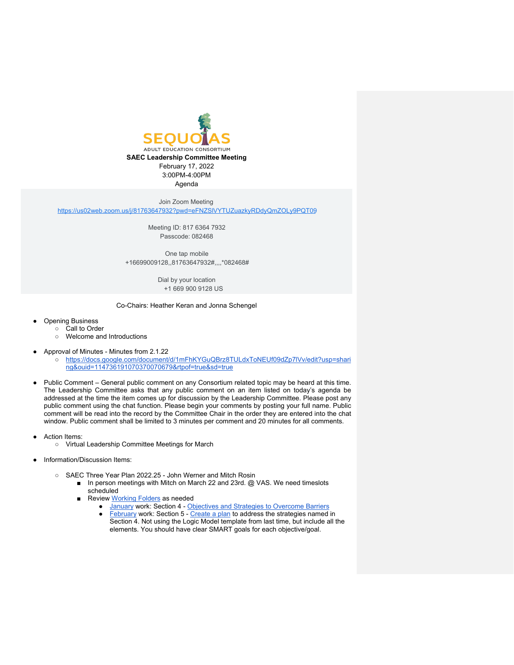

Agenda

Join Zoom Meeting

<https://us02web.zoom.us/j/81763647932?pwd=eFNZSlVYTUZuazkyRDdyQmZOLy9PQT09>

Meeting ID: 817 6364 7932 Passcode: 082468

One tap mobile +16699009128,,81763647932#,,,,\*082468#

> Dial by your location +1 669 900 9128 US

Co-Chairs: Heather Keran and Jonna Schengel

- **Opening Business** 
	- Call to Order
	- Welcome and Introductions
- Approval of Minutes Minutes from 2.1.22
	- [https://docs.google.com/document/d/1mFhKYGuQBrz8TULdxToNEUf09dZp7lVv/edit?usp=shari](https://docs.google.com/document/d/1mFhKYGuQBrz8TULdxToNEUf09dZp7lVv/edit?usp=sharing&ouid=114736191070370070679&rtpof=true&sd=true) [ng&ouid=114736191070370070679&rtpof=true&sd=true](https://docs.google.com/document/d/1mFhKYGuQBrz8TULdxToNEUf09dZp7lVv/edit?usp=sharing&ouid=114736191070370070679&rtpof=true&sd=true)
- Public Comment General public comment on any Consortium related topic may be heard at this time. The Leadership Committee asks that any public comment on an item listed on today's agenda be addressed at the time the item comes up for discussion by the Leadership Committee. Please post any public comment using the chat function. Please begin your comments by posting your full name. Public comment will be read into the record by the Committee Chair in the order they are entered into the chat window. Public comment shall be limited to 3 minutes per comment and 20 minutes for all comments.
- **Action Items:** 
	- Virtual Leadership Committee Meetings for March
- Information/Discussion Items:
	- SAEC Three Year Plan 2022.25 John Werner and Mitch Rosin
		- In person meetings with Mitch on March 22 and 23rd. @ VAS. We need timeslots scheduled
		- Review [Working Folders](https://drive.google.com/drive/folders/1yRhN9fHvgbCqesNxcQiMn3iPDu7nmMR6?usp=sharing) as needed
			- **[January](https://drive.google.com/drive/folders/1ZLpKB9cnyd7ADThO97DS3ieFGSg-LjYr) work: Section 4** [Objectives and Strategies to Overcome Barriers](https://docs.google.com/document/d/1iug88pEUD7fUW6P8bza8v8-OJf2y4aIhZbgVcGbXIVA/edit)
			- [February](https://drive.google.com/drive/folders/1XjXAyejVFCZkC1KGnfDNfjZQF943nvzW?usp=sharing) work: Section 5 [Create a plan](https://docs.google.com/document/d/1xUWGCa8rAPrY-PiOG3HXPJ9N57SjRrgx2OmlHAwjkfY/edit) to address the strategies named in Section 4. Not using the Logic Model template from last time, but include all the elements. You should have clear SMART goals for each objective/goal.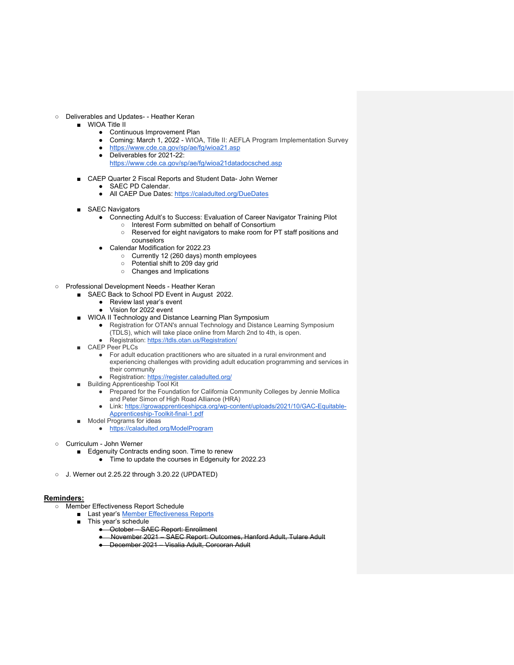- Deliverables and Updates- Heather Keran
	- WIOA Title II
		- Continuous Improvement Plan
		- Coming: March 1, 2022 WIOA, Title II: AEFLA Program Implementation Survey
		- <https://www.cde.ca.gov/sp/ae/fg/wioa21.asp>
		- Deliverables for 2021-22:
		- <https://www.cde.ca.gov/sp/ae/fg/wioa21datadocsched.asp>
	- CAEP Quarter 2 Fiscal Reports and Student Data- John Werner
		- SAEC PD Calendar.
		- All CAEP Due Dates:<https://caladulted.org/DueDates>
	- SAEC Navigators
		- Connecting Adult's to Success: Evaluation of Career Navigator Training Pilot
			- Interest Form submitted on behalf of Consortium
			- Reserved for eight navigators to make room for PT staff positions and counselors
		- Calendar Modification for 2022.23
			- Currently 12 (260 days) month employees
			- Potential shift to 209 day grid
			- Changes and Implications
- Professional Development Needs Heather Keran
	- SAEC Back to School PD Event in August 2022.
		- Review last year's event
		- Vision for 2022 event
	- WIOA II Technology and Distance Learning Plan Symposium
		- Registration for OTAN's annual Technology and Distance Learning Symposium (TDLS), which will take place online from March 2nd to 4th, is open.
			- Registration:<https://tdls.otan.us/Registration/>
	- CAEP Peer PLCs
		- For adult education practitioners who are situated in a rural environment and experiencing challenges with providing adult education programming and services in their community
		- Registration:<https://register.caladulted.org/>
	- Building Apprenticeship Tool Kit
		- Prepared for the Foundation for California Community Colleges by Jennie Mollica and Peter Simon of High Road Alliance (HRA)
		- Link: [https://growapprenticeshipca.org/wp-content/uploads/2021/10/GAC-Equitable-](https://growapprenticeshipca.org/wp-content/uploads/2021/10/GAC-Equitable-Apprenticeship-Toolkit-final-1.pdf)[Apprenticeship-Toolkit-final-1.pdf](https://growapprenticeshipca.org/wp-content/uploads/2021/10/GAC-Equitable-Apprenticeship-Toolkit-final-1.pdf)
	- Model Programs for ideas
		- <https://caladulted.org/ModelProgram>
- Curriculum John Werner
	- Edgenuity Contracts ending soon. Time to renew
		- Time to update the courses in Edgenuity for 2022.23
- J. Werner out 2.25.22 through 3.20.22 (UPDATED)

## **Reminders:**

- Member Effectiveness Report Schedule
	- Last year's [Member Effectiveness Reports](https://drive.google.com/drive/u/0/folders/1wr841k1LQIABFWmsMyaR_LOYhaj7fTjV)
	- This year's schedule
		- October SAEC Report: Enrollment
		- November 2021 SAEC Report: Outcomes, Hanford Adult, Tulare Adult
		- December 2021 Visalia Adult, Corcoran Adult